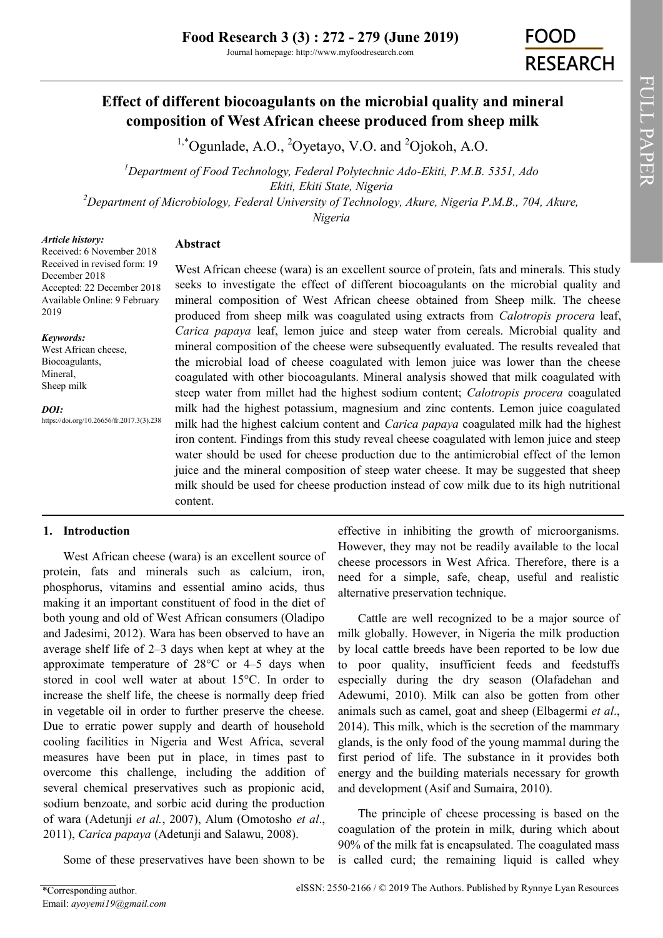Journal homepage: http://www.myfoodresearch.com

# **FOOD RESEARCH**

## **Effect of different biocoagulants on the microbial quality and mineral composition of West African cheese produced from sheep milk**

 $1,^{\circ}$ Ogunlade, A.O., <sup>2</sup>Oyetayo, V.O. and <sup>2</sup>Ojokoh, A.O.

*<sup>1</sup>Department of Food Technology, Federal Polytechnic Ado-Ekiti, P.M.B. 5351, Ado Ekiti, Ekiti State, Nigeria <sup>2</sup>Department of Microbiology, Federal University of Technology, Akure, Nigeria P.M.B., 704, Akure, Nigeria*

*Article history:*

## **Abstract**

Received: 6 November 2018 Received in revised form: 19 December 2018 Accepted: 22 December 2018 Available Online: 9 February 2019

*Keywords:*

West African cheese, Biocoagulants, Mineral, Sheep milk

*DOI:*

https://doi.org/10.26656/fr.2017.3(3).238

West African cheese (wara) is an excellent source of protein, fats and minerals. This study seeks to investigate the effect of different biocoagulants on the microbial quality and mineral composition of West African cheese obtained from Sheep milk. The cheese produced from sheep milk was coagulated using extracts from *Calotropis procera* leaf, *Carica papaya* leaf, lemon juice and steep water from cereals. Microbial quality and mineral composition of the cheese were subsequently evaluated. The results revealed that the microbial load of cheese coagulated with lemon juice was lower than the cheese coagulated with other biocoagulants. Mineral analysis showed that milk coagulated with steep water from millet had the highest sodium content; *Calotropis procera* coagulated milk had the highest potassium, magnesium and zinc contents. Lemon juice coagulated milk had the highest calcium content and *Carica papaya* coagulated milk had the highest iron content. Findings from this study reveal cheese coagulated with lemon juice and steep water should be used for cheese production due to the antimicrobial effect of the lemon juice and the mineral composition of steep water cheese. It may be suggested that sheep milk should be used for cheese production instead of cow milk due to its high nutritional content.

## **1. Introduction**

West African cheese (wara) is an excellent source of protein, fats and minerals such as calcium, iron, phosphorus, vitamins and essential amino acids, thus making it an important constituent of food in the diet of both young and old of West African consumers (Oladipo and Jadesimi, 2012). Wara has been observed to have an average shelf life of 2–3 days when kept at whey at the approximate temperature of 28°C or 4–5 days when stored in cool well water at about 15°C. In order to increase the shelf life, the cheese is normally deep fried in vegetable oil in order to further preserve the cheese. Due to erratic power supply and dearth of household cooling facilities in Nigeria and West Africa, several measures have been put in place, in times past to overcome this challenge, including the addition of several chemical preservatives such as propionic acid, sodium benzoate, and sorbic acid during the production of wara (Adetunji *et al.*, 2007), Alum (Omotosho *et al*., 2011), *Carica papaya* (Adetunji and Salawu, 2008).

Some of these preservatives have been shown to be

effective in inhibiting the growth of microorganisms. However, they may not be readily available to the local cheese processors in West Africa. Therefore, there is a need for a simple, safe, cheap, useful and realistic alternative preservation technique.

Cattle are well recognized to be a major source of milk globally. However, in Nigeria the milk production by local cattle breeds have been reported to be low due to poor quality, insufficient feeds and feedstuffs especially during the dry season (Olafadehan and Adewumi, 2010). Milk can also be gotten from other animals such as camel, goat and sheep (Elbagermi *et al*., 2014). This milk, which is the secretion of the mammary glands, is the only food of the young mammal during the first period of life. The substance in it provides both energy and the building materials necessary for growth and development (Asif and Sumaira, 2010).

The principle of cheese processing is based on the coagulation of the protein in milk, during which about 90% of the milk fat is encapsulated. The coagulated mass is called curd; the remaining liquid is called whey FULL PAPER

FULL PAPER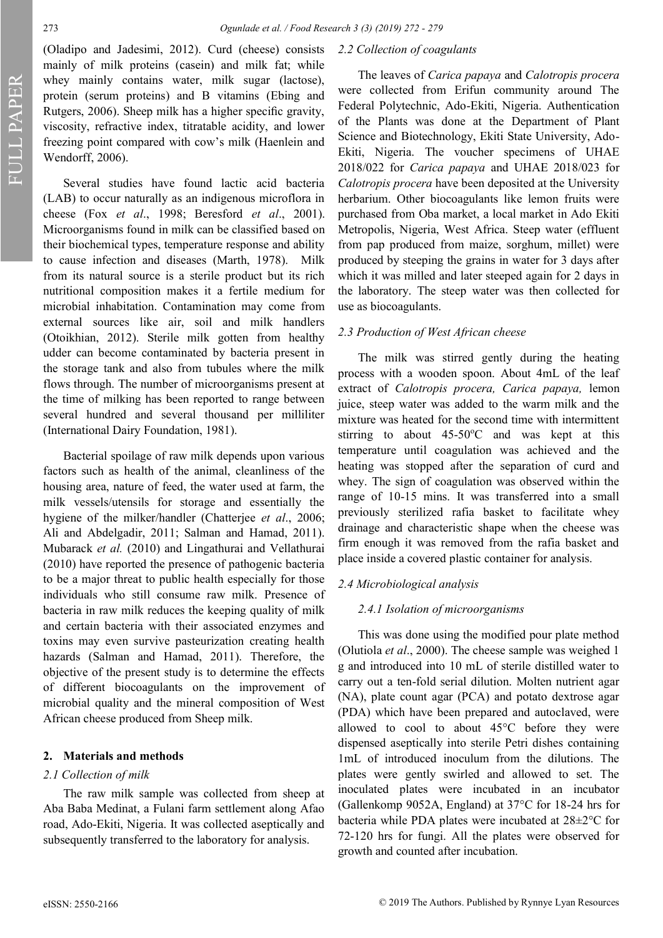FULL PAPER FULL PAPER

(Oladipo and Jadesimi, 2012). Curd (cheese) consists mainly of milk proteins (casein) and milk fat; while whey mainly contains water, milk sugar (lactose), protein (serum proteins) and B vitamins (Ebing and Rutgers, 2006). Sheep milk has a higher specific gravity, viscosity, refractive index, titratable acidity, and lower freezing point compared with cow's milk (Haenlein and Wendorff, 2006).

Several studies have found lactic acid bacteria (LAB) to occur naturally as an indigenous microflora in cheese (Fox *et al*., 1998; Beresford *et al*., 2001). Microorganisms found in milk can be classified based on their biochemical types, temperature response and ability to cause infection and diseases (Marth, 1978). Milk from its natural source is a sterile product but its rich nutritional composition makes it a fertile medium for microbial inhabitation. Contamination may come from external sources like air, soil and milk handlers (Otoikhian, 2012). Sterile milk gotten from healthy udder can become contaminated by bacteria present in the storage tank and also from tubules where the milk flows through. The number of microorganisms present at the time of milking has been reported to range between several hundred and several thousand per milliliter (International Dairy Foundation, 1981).

Bacterial spoilage of raw milk depends upon various factors such as health of the animal, cleanliness of the housing area, nature of feed, the water used at farm, the milk vessels/utensils for storage and essentially the hygiene of the milker/handler (Chatterjee *et al*., 2006; Ali and Abdelgadir, 2011; Salman and Hamad, 2011). Mubarack *et al.* (2010) and Lingathurai and Vellathurai (2010) have reported the presence of pathogenic bacteria to be a major threat to public health especially for those individuals who still consume raw milk. Presence of bacteria in raw milk reduces the keeping quality of milk and certain bacteria with their associated enzymes and toxins may even survive pasteurization creating health hazards (Salman and Hamad, 2011). Therefore, the objective of the present study is to determine the effects of different biocoagulants on the improvement of microbial quality and the mineral composition of West African cheese produced from Sheep milk.

#### **2. Materials and methods**

### *2.1 Collection of milk*

The raw milk sample was collected from sheep at Aba Baba Medinat, a Fulani farm settlement along Afao road, Ado-Ekiti, Nigeria. It was collected aseptically and subsequently transferred to the laboratory for analysis.

### *2.2 Collection of coagulants*

The leaves of *Carica papaya* and *Calotropis procera*  were collected from Erifun community around The Federal Polytechnic, Ado-Ekiti, Nigeria. Authentication of the Plants was done at the Department of Plant Science and Biotechnology, Ekiti State University, Ado-Ekiti, Nigeria. The voucher specimens of UHAE 2018/022 for *Carica papaya* and UHAE 2018/023 for *Calotropis procera* have been deposited at the University herbarium. Other biocoagulants like lemon fruits were purchased from Oba market, a local market in Ado Ekiti Metropolis, Nigeria, West Africa. Steep water (effluent from pap produced from maize, sorghum, millet) were produced by steeping the grains in water for 3 days after which it was milled and later steeped again for 2 days in the laboratory. The steep water was then collected for use as biocoagulants.

## *2.3 Production of West African cheese*

The milk was stirred gently during the heating process with a wooden spoon. About 4mL of the leaf extract of *Calotropis procera, Carica papaya,* lemon juice, steep water was added to the warm milk and the mixture was heated for the second time with intermittent stirring to about  $45{\text -}50^{\circ}\text{C}$  and was kept at this temperature until coagulation was achieved and the heating was stopped after the separation of curd and whey. The sign of coagulation was observed within the range of 10-15 mins. It was transferred into a small previously sterilized rafia basket to facilitate whey drainage and characteristic shape when the cheese was firm enough it was removed from the rafia basket and place inside a covered plastic container for analysis.

## *2.4 Microbiological analysis*

## *2.4.1 Isolation of microorganisms*

This was done using the modified pour plate method (Olutiola *et al*., 2000). The cheese sample was weighed 1 g and introduced into 10 mL of sterile distilled water to carry out a ten-fold serial dilution. Molten nutrient agar (NA), plate count agar (PCA) and potato dextrose agar (PDA) which have been prepared and autoclaved, were allowed to cool to about 45°C before they were dispensed aseptically into sterile Petri dishes containing 1mL of introduced inoculum from the dilutions. The plates were gently swirled and allowed to set. The inoculated plates were incubated in an incubator (Gallenkomp 9052A, England) at 37°C for 18-24 hrs for bacteria while PDA plates were incubated at 28±2°C for 72-120 hrs for fungi. All the plates were observed for growth and counted after incubation.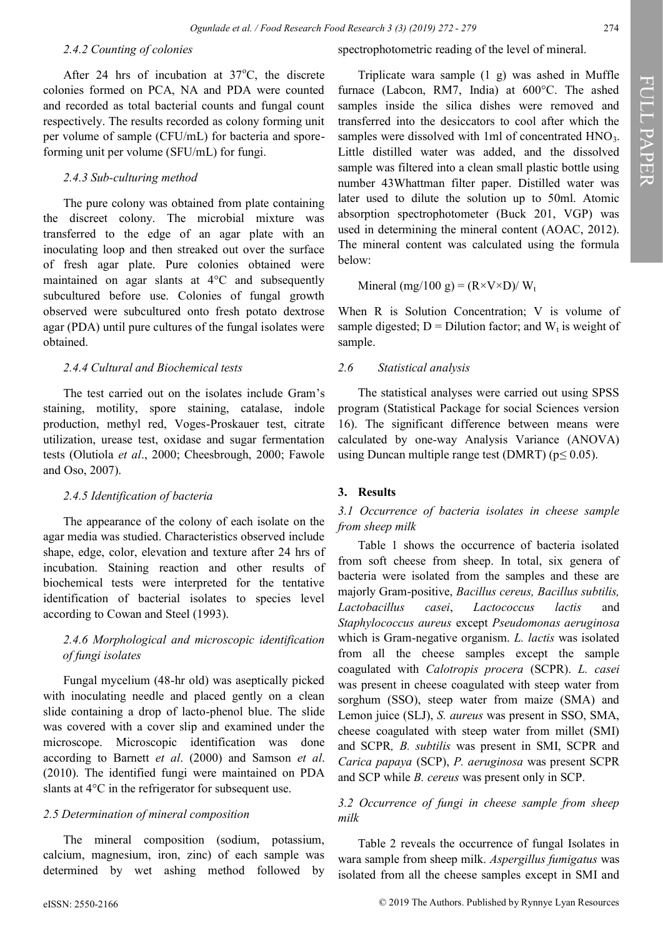#### *2.4.2 Counting of colonies*

After 24 hrs of incubation at  $37^{\circ}$ C, the discrete colonies formed on PCA, NA and PDA were counted and recorded as total bacterial counts and fungal count respectively. The results recorded as colony forming unit per volume of sample (CFU/mL) for bacteria and sporeforming unit per volume (SFU/mL) for fungi.

## *2.4.3 Sub-culturing method*

The pure colony was obtained from plate containing the discreet colony. The microbial mixture was transferred to the edge of an agar plate with an inoculating loop and then streaked out over the surface of fresh agar plate. Pure colonies obtained were maintained on agar slants at 4°C and subsequently subcultured before use. Colonies of fungal growth observed were subcultured onto fresh potato dextrose agar (PDA) until pure cultures of the fungal isolates were obtained.

## *2.4.4 Cultural and Biochemical tests*

The test carried out on the isolates include Gram's staining, motility, spore staining, catalase, indole production, methyl red, Voges-Proskauer test, citrate utilization, urease test, oxidase and sugar fermentation tests (Olutiola *et al*., 2000; Cheesbrough, 2000; Fawole and Oso, 2007).

#### *2.4.5 Identification of bacteria*

The appearance of the colony of each isolate on the agar media was studied. Characteristics observed include shape, edge, color, elevation and texture after 24 hrs of incubation. Staining reaction and other results of biochemical tests were interpreted for the tentative identification of bacterial isolates to species level according to Cowan and Steel (1993).

## *2.4.6 Morphological and microscopic identification of fungi isolates*

Fungal mycelium (48-hr old) was aseptically picked with inoculating needle and placed gently on a clean slide containing a drop of lacto-phenol blue. The slide was covered with a cover slip and examined under the microscope. Microscopic identification was done according to Barnett *et al*. (2000) and Samson *et al*. (2010). The identified fungi were maintained on PDA slants at 4°C in the refrigerator for subsequent use.

## *2.5 Determination of mineral composition*

The mineral composition (sodium, potassium, calcium, magnesium, iron, zinc) of each sample was determined by wet ashing method followed by

Triplicate wara sample (1 g) was ashed in Muffle furnace (Labcon, RM7, India) at 600°C. The ashed samples inside the silica dishes were removed and transferred into the desiccators to cool after which the samples were dissolved with 1ml of concentrated  $HNO<sub>3</sub>$ . Little distilled water was added, and the dissolved sample was filtered into a clean small plastic bottle using number 43Whattman filter paper. Distilled water was later used to dilute the solution up to 50ml. Atomic absorption spectrophotometer (Buck 201, VGP) was used in determining the mineral content (AOAC, 2012). The mineral content was calculated using the formula below:

Mineral (mg/100 g) =  $(R \times V \times D) / W_t$ 

When R is Solution Concentration; V is volume of sample digested;  $D = Dilution factor$ ; and  $W_t$  is weight of sample.

## *2.6 Statistical analysis*

The statistical analyses were carried out using SPSS program (Statistical Package for social Sciences version 16). The significant difference between means were calculated by one-way Analysis Variance (ANOVA) using Duncan multiple range test (DMRT) ( $p \le 0.05$ ).

## **3. Results**

## *3.1 Occurrence of bacteria isolates in cheese sample from sheep milk*

Table 1 shows the occurrence of bacteria isolated from soft cheese from sheep. In total, six genera of bacteria were isolated from the samples and these are majorly Gram-positive, *Bacillus cereus, Bacillus subtilis, Lactobacillus casei*, *Lactococcus lactis* and *Staphylococcus aureus* except *Pseudomonas aeruginosa* which is Gram-negative organism. *L. lactis* was isolated from all the cheese samples except the sample coagulated with *Calotropis procera* (SCPR). *L. casei*  was present in cheese coagulated with steep water from sorghum (SSO), steep water from maize (SMA) and Lemon juice (SLJ), *S. aureus* was present in SSO, SMA, cheese coagulated with steep water from millet (SMI) and SCPR*, B. subtilis* was present in SMI, SCPR and *Carica papaya* (SCP), *P. aeruginosa* was present SCPR and SCP while *B. cereus* was present only in SCP.

## *3.2 Occurrence of fungi in cheese sample from sheep milk*

Table 2 reveals the occurrence of fungal Isolates in wara sample from sheep milk. *Aspergillus fumigatus* was isolated from all the cheese samples except in SMI and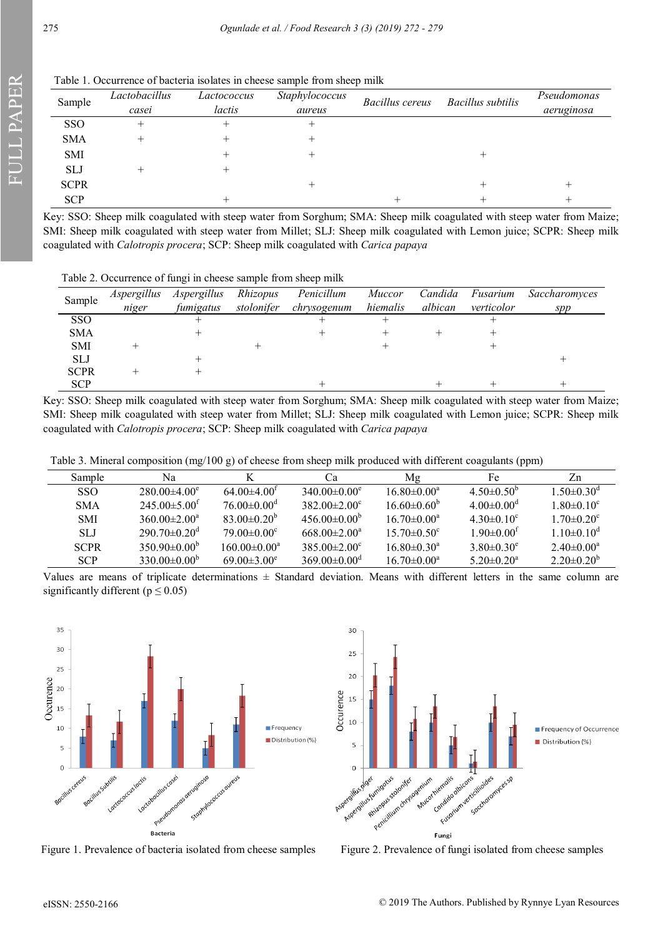Table 1. Occurrence of bacteria isolates in cheese sample from sheep milk

| Sample      | Lactobacillus<br>casei | Lactococcus<br>lactis | Staphylococcus<br>aureus | Bacillus cereus | Bacillus subtilis | Pseudomonas<br>aeruginosa |
|-------------|------------------------|-----------------------|--------------------------|-----------------|-------------------|---------------------------|
| SSO         |                        |                       |                          |                 |                   |                           |
| <b>SMA</b>  |                        |                       |                          |                 |                   |                           |
| <b>SMI</b>  |                        |                       |                          |                 |                   |                           |
| <b>SLJ</b>  |                        |                       |                          |                 |                   |                           |
| <b>SCPR</b> |                        |                       | +                        |                 |                   |                           |
| <b>SCP</b>  |                        |                       |                          |                 |                   |                           |

Key: SSO: Sheep milk coagulated with steep water from Sorghum; SMA: Sheep milk coagulated with steep water from Maize; SMI: Sheep milk coagulated with steep water from Millet; SLJ: Sheep milk coagulated with Lemon juice; SCPR: Sheep milk coagulated with *Calotropis procera*; SCP: Sheep milk coagulated with *Carica papaya*

Table 2. Occurrence of fungi in cheese sample from sheep milk

| Sample      | Aspergillus | Aspergillus | Rhizopus   | Penicillum  | <i>Muccor</i> | Candida | Fusarium   | Saccharomyces |
|-------------|-------------|-------------|------------|-------------|---------------|---------|------------|---------------|
|             | niger       | fumigatus   | stolonifer | chrysogenum | hiemalis      | albican | verticolor | spp           |
| <b>SSO</b>  |             |             |            |             |               |         |            |               |
| <b>SMA</b>  |             |             |            |             |               |         |            |               |
| <b>SMI</b>  |             |             |            |             |               |         |            |               |
| <b>SLJ</b>  |             |             |            |             |               |         |            |               |
| <b>SCPR</b> |             |             |            |             |               |         |            |               |
| <b>SCP</b>  |             |             |            |             |               |         |            |               |

Key: SSO: Sheep milk coagulated with steep water from Sorghum; SMA: Sheep milk coagulated with steep water from Maize; SMI: Sheep milk coagulated with steep water from Millet; SLJ: Sheep milk coagulated with Lemon juice; SCPR: Sheep milk coagulated with *Calotropis procera*; SCP: Sheep milk coagulated with *Carica papaya*

Table 3. Mineral composition (mg/100 g) of cheese from sheep milk produced with different coagulants (ppm)

| <b>Sample</b> | Na                             | K                             | Сa                             | Mg                            | Fe                           | Zn                           |
|---------------|--------------------------------|-------------------------------|--------------------------------|-------------------------------|------------------------------|------------------------------|
| <b>SSO</b>    | $280.00\pm4.00^e$              | $64.00\pm4.00t$               | $340.00 \pm 0.00^e$            | $16.80 \pm 0.00^{\circ}$      | $4.50\pm0.50^b$              | $1.50 \pm 0.30$ <sup>d</sup> |
| <b>SMA</b>    | $245.00 \pm 5.00^{\text{t}}$   | $76.00 \pm 0.00$ <sup>d</sup> | $382.00 \pm 2.00^{\circ}$      | $16.60 \pm 0.60^{\circ}$      | $4.00 \pm 0.00$ <sup>d</sup> | $1.80 \pm 0.10^c$            |
| <b>SMI</b>    | $360.00 \pm 2.00^{\circ}$      | $83.00 \pm 0.20^{\circ}$      | $456.00\pm0.00^{\circ}$        | $16.70 \pm 0.00^{\circ}$      | $4.30\pm0.10^{\circ}$        | $1.70 \pm 0.20$ <sup>c</sup> |
| <b>SLJ</b>    | $290.70 \pm 0.20$ <sup>d</sup> | $79.00 \pm 0.00^{\circ}$      | $668.00 \pm 2.00^{\circ}$      | $15.70 \pm 0.50$ <sup>c</sup> | $1.90 \pm 0.00^{\text{t}}$   | $1.10\pm0.10^{\circ}$        |
| <b>SCPR</b>   | $350.90\pm0.00^{\circ}$        | $160.00 \pm 0.00^a$           | $385.00 \pm 2.00^{\circ}$      | $16.80 \pm 0.30^{\circ}$      | $3.80\pm0.30^e$              | $2.40 \pm 0.00^a$            |
| <b>SCP</b>    | $330.00\pm0.00^{\circ}$        | $69.00 \pm 3.00^e$            | $369.00 \pm 0.00$ <sup>d</sup> | $16.70 \pm 0.00^{\circ}$      | $5.20 \pm 0.20^a$            | $2.20\pm0.20^b$              |

Values are means of triplicate determinations  $\pm$  Standard deviation. Means with different letters in the same column are significantly different ( $p \le 0.05$ )



Figure 1. Prevalence of bacteria isolated from cheese samples Figure 2. Prevalence of fungi isolated from cheese samples

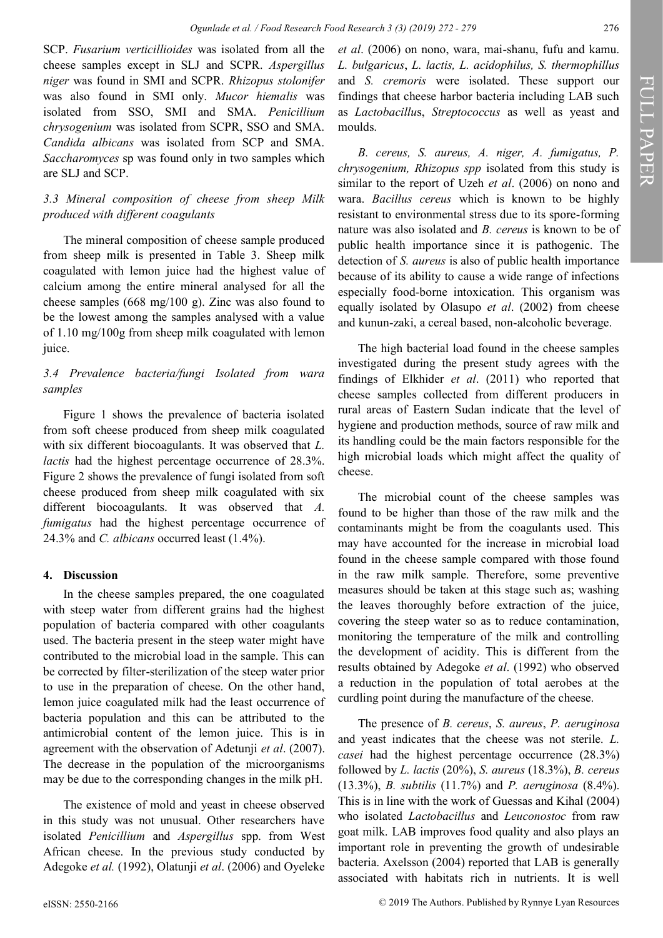SCP. *Fusarium verticillioides* was isolated from all the cheese samples except in SLJ and SCPR. *Aspergillus niger* was found in SMI and SCPR. *Rhizopus stolonifer* was also found in SMI only. *Mucor hiemalis* was isolated from SSO, SMI and SMA. *Penicillium chrysogenium* was isolated from SCPR, SSO and SMA. *Candida albicans* was isolated from SCP and SMA. *Saccharomyces* sp was found only in two samples which are SLJ and SCP.

## *3.3 Mineral composition of cheese from sheep Milk produced with different coagulants*

The mineral composition of cheese sample produced from sheep milk is presented in Table 3. Sheep milk coagulated with lemon juice had the highest value of calcium among the entire mineral analysed for all the cheese samples (668 mg/100 g). Zinc was also found to be the lowest among the samples analysed with a value of 1.10 mg/100g from sheep milk coagulated with lemon juice.

## *3.4 Prevalence bacteria/fungi Isolated from wara samples*

Figure 1 shows the prevalence of bacteria isolated from soft cheese produced from sheep milk coagulated with six different biocoagulants. It was observed that *L. lactis* had the highest percentage occurrence of 28.3%. Figure 2 shows the prevalence of fungi isolated from soft cheese produced from sheep milk coagulated with six different biocoagulants. It was observed that *A. fumigatus* had the highest percentage occurrence of 24.3% and *C. albicans* occurred least (1.4%).

## **4. Discussion**

In the cheese samples prepared, the one coagulated with steep water from different grains had the highest population of bacteria compared with other coagulants used. The bacteria present in the steep water might have contributed to the microbial load in the sample. This can be corrected by filter-sterilization of the steep water prior to use in the preparation of cheese. On the other hand, lemon juice coagulated milk had the least occurrence of bacteria population and this can be attributed to the antimicrobial content of the lemon juice. This is in agreement with the observation of Adetunji *et al*. (2007). The decrease in the population of the microorganisms may be due to the corresponding changes in the milk pH.

The existence of mold and yeast in cheese observed in this study was not unusual. Other researchers have isolated *Penicillium* and *Aspergillus* spp. from West African cheese. In the previous study conducted by Adegoke *et al.* (1992), Olatunji *et al*. (2006) and Oyeleke

*et al*. (2006) on nono, wara, mai-shanu, fufu and kamu. *L. bulgaricus*, *L. lactis, L. acidophilus, S. thermophillus* and *S. cremoris* were isolated. These support our findings that cheese harbor bacteria including LAB such as *Lactobacillu*s, *Streptococcus* as well as yeast and moulds.

*B. cereus, S. aureus, A. niger, A. fumigatus, P. chrysogenium, Rhizopus spp* isolated from this study is similar to the report of Uzeh *et al*. (2006) on nono and wara. *Bacillus cereus* which is known to be highly resistant to environmental stress due to its spore-forming nature was also isolated and *B. cereus* is known to be of public health importance since it is pathogenic. The detection of *S. aureus* is also of public health importance because of its ability to cause a wide range of infections especially food-borne intoxication. This organism was equally isolated by Olasupo *et al*. (2002) from cheese and kunun-zaki, a cereal based, non-alcoholic beverage.

The high bacterial load found in the cheese samples investigated during the present study agrees with the findings of Elkhider *et al*. (2011) who reported that cheese samples collected from different producers in rural areas of Eastern Sudan indicate that the level of hygiene and production methods, source of raw milk and its handling could be the main factors responsible for the high microbial loads which might affect the quality of cheese.

The microbial count of the cheese samples was found to be higher than those of the raw milk and the contaminants might be from the coagulants used. This may have accounted for the increase in microbial load found in the cheese sample compared with those found in the raw milk sample. Therefore, some preventive measures should be taken at this stage such as; washing the leaves thoroughly before extraction of the juice, covering the steep water so as to reduce contamination, monitoring the temperature of the milk and controlling the development of acidity. This is different from the results obtained by Adegoke *et al*. (1992) who observed a reduction in the population of total aerobes at the curdling point during the manufacture of the cheese.

The presence of *B. cereus*, *S. aureus*, *P. aeruginosa* and yeast indicates that the cheese was not sterile. *L. casei* had the highest percentage occurrence (28.3%) followed by *L. lactis* (20%), *S. aureus* (18.3%), *B. cereus* (13.3%), *B. subtilis* (11.7%) and *P. aeruginosa* (8.4%). This is in line with the work of Guessas and Kihal (2004) who isolated *Lactobacillus* and *Leuconostoc* from raw goat milk. LAB improves food quality and also plays an important role in preventing the growth of undesirable bacteria. Axelsson (2004) reported that LAB is generally associated with habitats rich in nutrients. It is well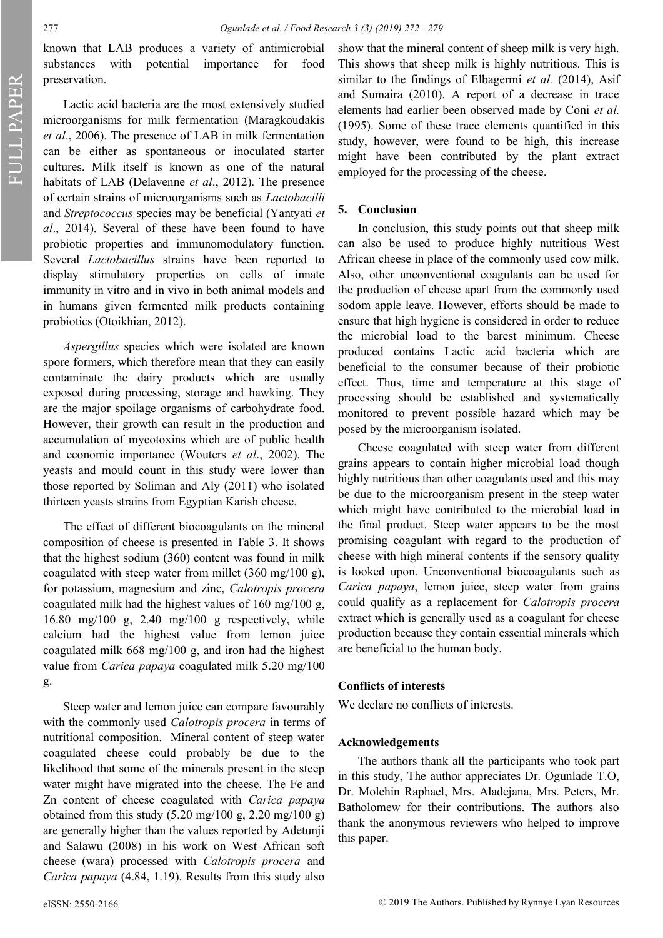FULL PAPER FULL PAPER

known that LAB produces a variety of antimicrobial substances with potential importance for food preservation.

Lactic acid bacteria are the most extensively studied microorganisms for milk fermentation (Maragkoudakis *et al*., 2006). The presence of LAB in milk fermentation can be either as spontaneous or inoculated starter cultures. Milk itself is known as one of the natural habitats of LAB (Delavenne *et al*., 2012). The presence of certain strains of microorganisms such as *Lactobacilli*  and *Streptococcus* species may be beneficial (Yantyati *et al*., 2014). Several of these have been found to have probiotic properties and immunomodulatory function. Several *Lactobacillus* strains have been reported to display stimulatory properties on cells of innate immunity in vitro and in vivo in both animal models and in humans given fermented milk products containing probiotics (Otoikhian, 2012).

*Aspergillus* species which were isolated are known spore formers, which therefore mean that they can easily contaminate the dairy products which are usually exposed during processing, storage and hawking. They are the major spoilage organisms of carbohydrate food. However, their growth can result in the production and accumulation of mycotoxins which are of public health and economic importance (Wouters *et al*., 2002). The yeasts and mould count in this study were lower than those reported by Soliman and Aly (2011) who isolated thirteen yeasts strains from Egyptian Karish cheese.

The effect of different biocoagulants on the mineral composition of cheese is presented in Table 3. It shows that the highest sodium (360) content was found in milk coagulated with steep water from millet (360 mg/100 g), for potassium, magnesium and zinc, *Calotropis procera* coagulated milk had the highest values of 160 mg/100 g, 16.80 mg/100 g, 2.40 mg/100 g respectively, while calcium had the highest value from lemon juice coagulated milk 668 mg/100 g, and iron had the highest value from *Carica papaya* coagulated milk 5.20 mg/100 g.

Steep water and lemon juice can compare favourably with the commonly used *Calotropis procera* in terms of nutritional composition. Mineral content of steep water coagulated cheese could probably be due to the likelihood that some of the minerals present in the steep water might have migrated into the cheese. The Fe and Zn content of cheese coagulated with *Carica papaya* obtained from this study  $(5.20 \text{ mg}/100 \text{ g}, 2.20 \text{ mg}/100 \text{ g})$ are generally higher than the values reported by Adetunji and Salawu (2008) in his work on West African soft cheese (wara) processed with *Calotropis procera* and *Carica papaya* (4.84, 1.19). Results from this study also

show that the mineral content of sheep milk is very high. This shows that sheep milk is highly nutritious. This is similar to the findings of Elbagermi *et al.* (2014), Asif and Sumaira (2010). A report of a decrease in trace elements had earlier been observed made by Coni *et al.* (1995). Some of these trace elements quantified in this study, however, were found to be high, this increase might have been contributed by the plant extract employed for the processing of the cheese.

## **5. Conclusion**

In conclusion, this study points out that sheep milk can also be used to produce highly nutritious West African cheese in place of the commonly used cow milk. Also, other unconventional coagulants can be used for the production of cheese apart from the commonly used sodom apple leave. However, efforts should be made to ensure that high hygiene is considered in order to reduce the microbial load to the barest minimum. Cheese produced contains Lactic acid bacteria which are beneficial to the consumer because of their probiotic effect. Thus, time and temperature at this stage of processing should be established and systematically monitored to prevent possible hazard which may be posed by the microorganism isolated.

Cheese coagulated with steep water from different grains appears to contain higher microbial load though highly nutritious than other coagulants used and this may be due to the microorganism present in the steep water which might have contributed to the microbial load in the final product. Steep water appears to be the most promising coagulant with regard to the production of cheese with high mineral contents if the sensory quality is looked upon. Unconventional biocoagulants such as *Carica papaya*, lemon juice, steep water from grains could qualify as a replacement for *Calotropis procera* extract which is generally used as a coagulant for cheese production because they contain essential minerals which are beneficial to the human body.

#### **Conflicts of interests**

We declare no conflicts of interests.

### **Acknowledgements**

The authors thank all the participants who took part in this study, The author appreciates Dr. Ogunlade T.O, Dr. Molehin Raphael, Mrs. Aladejana, Mrs. Peters, Mr. Batholomew for their contributions. The authors also thank the anonymous reviewers who helped to improve this paper.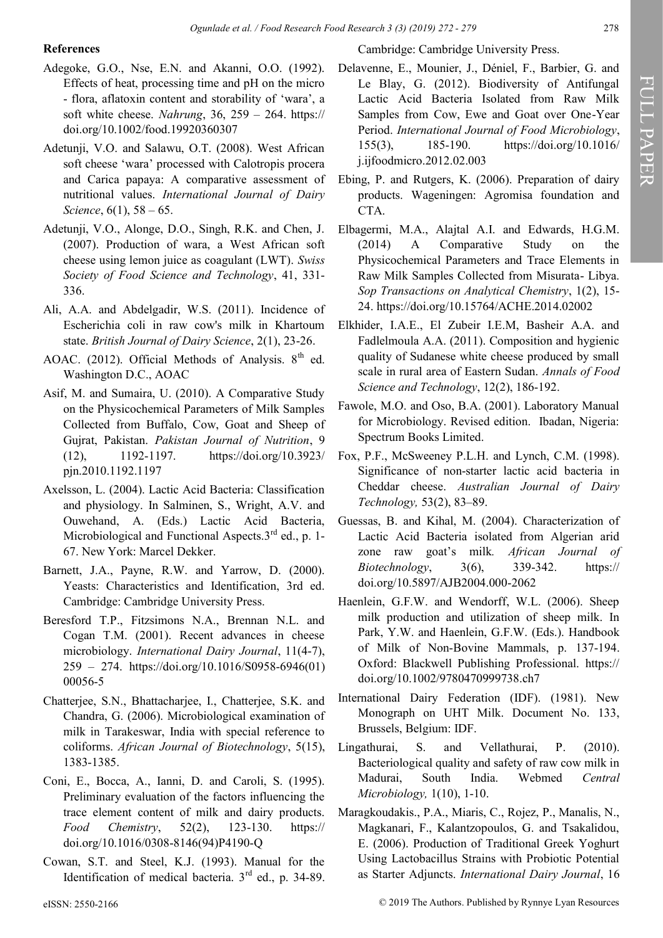## **References**

- Adegoke, G.O., Nse, E.N. and Akanni, O.O. (1992). Effects of heat, processing time and pH on the micro - flora, aflatoxin content and storability of 'wara', a soft white cheese. *Nahrung*, 36, 259 – 264. https:// doi.org/10.1002/food.19920360307
- Adetunji, V.O. and Salawu, O.T. (2008). West African soft cheese 'wara' processed with Calotropis procera and Carica papaya: A comparative assessment of nutritional values. *International Journal of Dairy Science*, 6(1), 58 – 65.
- Adetunji, V.O., Alonge, D.O., Singh, R.K. and Chen, J. (2007). Production of wara, a West African soft cheese using lemon juice as coagulant (LWT). *Swiss Society of Food Science and Technology*, 41, 331- 336.
- Ali, A.A. and Abdelgadir, W.S. (2011). Incidence of Escherichia coli in raw cow's milk in Khartoum state. *British Journal of Dairy Science*, 2(1), 23-26.
- AOAC. (2012). Official Methods of Analysis.  $8<sup>th</sup>$  ed. Washington D.C., AOAC
- Asif, M. and Sumaira, U. (2010). A Comparative Study on the Physicochemical Parameters of Milk Samples Collected from Buffalo, Cow, Goat and Sheep of Gujrat, Pakistan. *Pakistan Journal of Nutrition*, 9 (12), 1192-1197. https://doi.org/10.3923/ pjn.2010.1192.1197
- Axelsson, L. (2004). Lactic Acid Bacteria: Classification and physiology. In Salminen, S., Wright, A.V. and Ouwehand, A. (Eds.) Lactic Acid Bacteria, Microbiological and Functional Aspects. $3<sup>rd</sup>$  ed., p. 1-67. New York: Marcel Dekker.
- Barnett, J.A., Payne, R.W. and Yarrow, D. (2000). Yeasts: Characteristics and Identification, 3rd ed. Cambridge: Cambridge University Press.
- Beresford T.P., Fitzsimons N.A., Brennan N.L. and Cogan T.M. (2001). Recent advances in cheese microbiology. *International Dairy Journal*, 11(4-7), 259 – 274. https://doi.org/10.1016/S0958-6946(01) 00056-5
- Chatterjee, S.N., Bhattacharjee, I., Chatterjee, S.K. and Chandra, G. (2006). Microbiological examination of milk in Tarakeswar, India with special reference to coliforms. *African Journal of Biotechnology*, 5(15), 1383-1385.
- Coni, E., Bocca, A., Ianni, D. and Caroli, S. (1995). Preliminary evaluation of the factors influencing the trace element content of milk and dairy products. *Food Chemistry*, 52(2), 123-130. https:// doi.org/10.1016/0308-8146(94)P4190-Q
- Cowan, S.T. and Steel, K.J. (1993). Manual for the Identification of medical bacteria. 3<sup>rd</sup> ed., p. 34-89.

Cambridge: Cambridge University Press.

- Delavenne, E., Mounier, J., Déniel, F., Barbier, G. and Le Blay, G. (2012). Biodiversity of Antifungal Lactic Acid Bacteria Isolated from Raw Milk Samples from Cow, Ewe and Goat over One-Year Period. *International Journal of Food Microbiology*, 155(3), 185-190. https://doi.org/10.1016/ j.ijfoodmicro.2012.02.003
- Ebing, P. and Rutgers, K. (2006). Preparation of dairy products. Wageningen: Agromisa foundation and CTA.
- Elbagermi, M.A., Alajtal A.I. and Edwards, H.G.M. (2014) A Comparative Study on the Physicochemical Parameters and Trace Elements in Raw Milk Samples Collected from Misurata- Libya. *Sop Transactions on Analytical Chemistry*, 1(2), 15- 24. https://doi.org/10.15764/ACHE.2014.02002
- Elkhider, I.A.E., El Zubeir I.E.M, Basheir A.A. and Fadlelmoula A.A. (2011). Composition and hygienic quality of Sudanese white cheese produced by small scale in rural area of Eastern Sudan. *Annals of Food Science and Technology*, 12(2), 186-192.
- Fawole, M.O. and Oso, B.A. (2001). Laboratory Manual for Microbiology. Revised edition. Ibadan, Nigeria: Spectrum Books Limited.
- Fox, P.F., McSweeney P.L.H. and Lynch, C.M. (1998). Significance of non-starter lactic acid bacteria in Cheddar cheese. *Australian Journal of Dairy Technology,* 53(2), 83–89.
- Guessas, B. and Kihal, M. (2004). Characterization of Lactic Acid Bacteria isolated from Algerian arid zone raw goat's milk*. African Journal of Biotechnology*, 3(6), 339-342. https:// doi.org/10.5897/AJB2004.000-2062
- Haenlein, G.F.W. and Wendorff, W.L. (2006). Sheep milk production and utilization of sheep milk. In Park, Y.W. and Haenlein, G.F.W. (Eds.). Handbook of Milk of Non-Bovine Mammals, p. 137-194. Oxford: Blackwell Publishing Professional. https:// doi.org/10.1002/9780470999738.ch7
- International Dairy Federation (IDF). (1981). New Monograph on UHT Milk. Document No. 133, Brussels, Belgium: IDF.
- Lingathurai, S. and Vellathurai, P. (2010). Bacteriological quality and safety of raw cow milk in Madurai, South India. Webmed *Central Microbiology,* 1(10), 1-10.
- Maragkoudakis., P.A., Miaris, C., Rojez, P., Manalis, N., Magkanari, F., Kalantzopoulos, G. and Tsakalidou, E. (2006). Production of Traditional Greek Yoghurt Using Lactobacillus Strains with Probiotic Potential as Starter Adjuncts. *International Dairy Journal*, 16